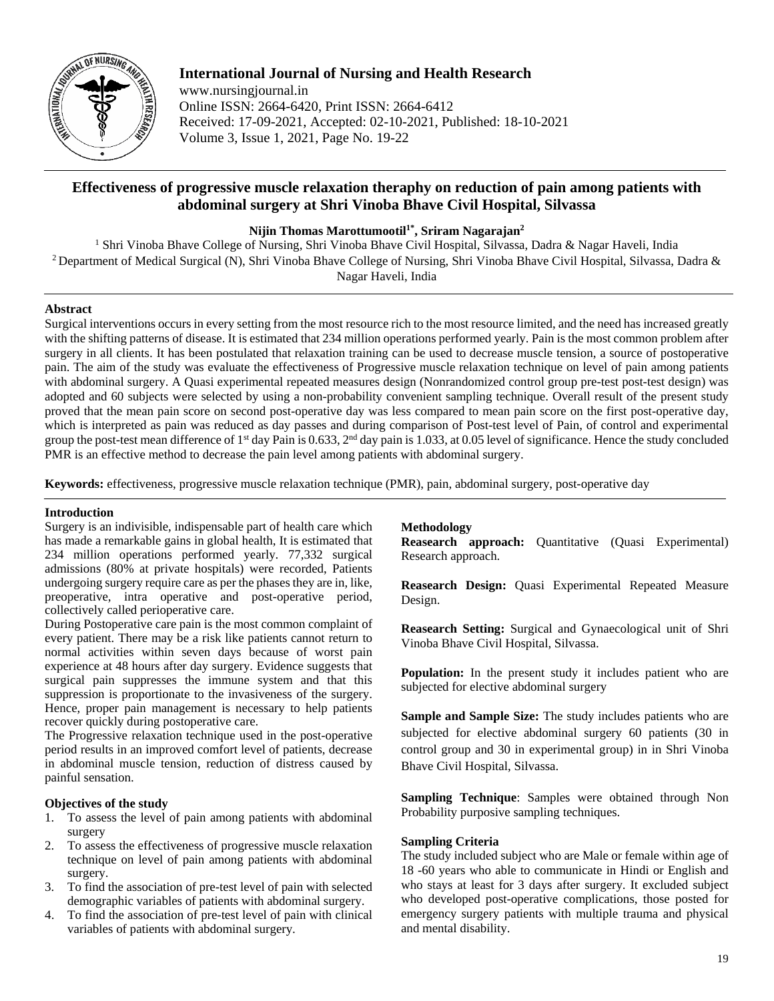

# **International Journal of Nursing and Health Research**

www.nursingjournal.in Online ISSN: 2664-6420, Print ISSN: 2664-6412 Received: 17-09-2021, Accepted: 02-10-2021, Published: 18-10-2021 Volume 3, Issue 1, 2021, Page No. 19-22

# **Effectiveness of progressive muscle relaxation theraphy on reduction of pain among patients with abdominal surgery at Shri Vinoba Bhave Civil Hospital, Silvassa**

**Nijin Thomas Marottumootil1\* , Sriram Nagarajan2**

<sup>1</sup> Shri Vinoba Bhave College of Nursing, Shri Vinoba Bhave Civil Hospital, Silvassa, Dadra & Nagar Haveli, India <sup>2</sup> Department of Medical Surgical (N), Shri Vinoba Bhave College of Nursing, Shri Vinoba Bhave Civil Hospital, Silvassa, Dadra & Nagar Haveli, India

## **Abstract**

Surgical interventions occurs in every setting from the most resource rich to the most resource limited, and the need has increased greatly with the shifting patterns of disease. It is estimated that 234 million operations performed yearly. Pain is the most common problem after surgery in all clients. It has been postulated that relaxation training can be used to decrease muscle tension, a source of postoperative pain. The aim of the study was evaluate the effectiveness of Progressive muscle relaxation technique on level of pain among patients with abdominal surgery. A Quasi experimental repeated measures design (Nonrandomized control group pre-test post-test design) was adopted and 60 subjects were selected by using a non-probability convenient sampling technique. Overall result of the present study proved that the mean pain score on second post-operative day was less compared to mean pain score on the first post-operative day, which is interpreted as pain was reduced as day passes and during comparison of Post-test level of Pain, of control and experimental group the post-test mean difference of 1<sup>st</sup> day Pain is 0.633, 2<sup>nd</sup> day pain is 1.033, at 0.05 level of significance. Hence the study concluded PMR is an effective method to decrease the pain level among patients with abdominal surgery.

**Keywords:** effectiveness, progressive muscle relaxation technique (PMR), pain, abdominal surgery, post-operative day

#### **Introduction**

Surgery is an indivisible, indispensable part of health care which has made a remarkable gains in global health, It is estimated that 234 million operations performed yearly. 77,332 surgical admissions (80% at private hospitals) were recorded, Patients undergoing surgery require care as per the phases they are in, like, preoperative, intra operative and post-operative period, collectively called perioperative care.

During Postoperative care pain is the most common complaint of every patient. There may be a risk like patients cannot return to normal activities within seven days because of worst pain experience at 48 hours after day surgery. Evidence suggests that surgical pain suppresses the immune system and that this suppression is proportionate to the invasiveness of the surgery. Hence, proper pain management is necessary to help patients recover quickly during postoperative care.

The Progressive relaxation technique used in the post-operative period results in an improved comfort level of patients, decrease in abdominal muscle tension, reduction of distress caused by painful sensation.

# **Objectives of the study**

- 1. To assess the level of pain among patients with abdominal surgery
- 2. To assess the effectiveness of progressive muscle relaxation technique on level of pain among patients with abdominal surgery.
- 3. To find the association of pre-test level of pain with selected demographic variables of patients with abdominal surgery.
- 4. To find the association of pre-test level of pain with clinical variables of patients with abdominal surgery.

#### **Methodology**

**Reasearch approach:** Quantitative (Quasi Experimental) Research approach.

**Reasearch Design:** Quasi Experimental Repeated Measure Design.

**Reasearch Setting:** Surgical and Gynaecological unit of Shri Vinoba Bhave Civil Hospital, Silvassa.

**Population:** In the present study it includes patient who are subjected for elective abdominal surgery

**Sample and Sample Size:** The study includes patients who are subjected for elective abdominal surgery 60 patients (30 in control group and 30 in experimental group) in in Shri Vinoba Bhave Civil Hospital, Silvassa.

**Sampling Technique**: Samples were obtained through Non Probability purposive sampling techniques.

# **Sampling Criteria**

The study included subject who are Male or female within age of 18 -60 years who able to communicate in Hindi or English and who stays at least for 3 days after surgery. It excluded subject who developed post-operative complications, those posted for emergency surgery patients with multiple trauma and physical and mental disability.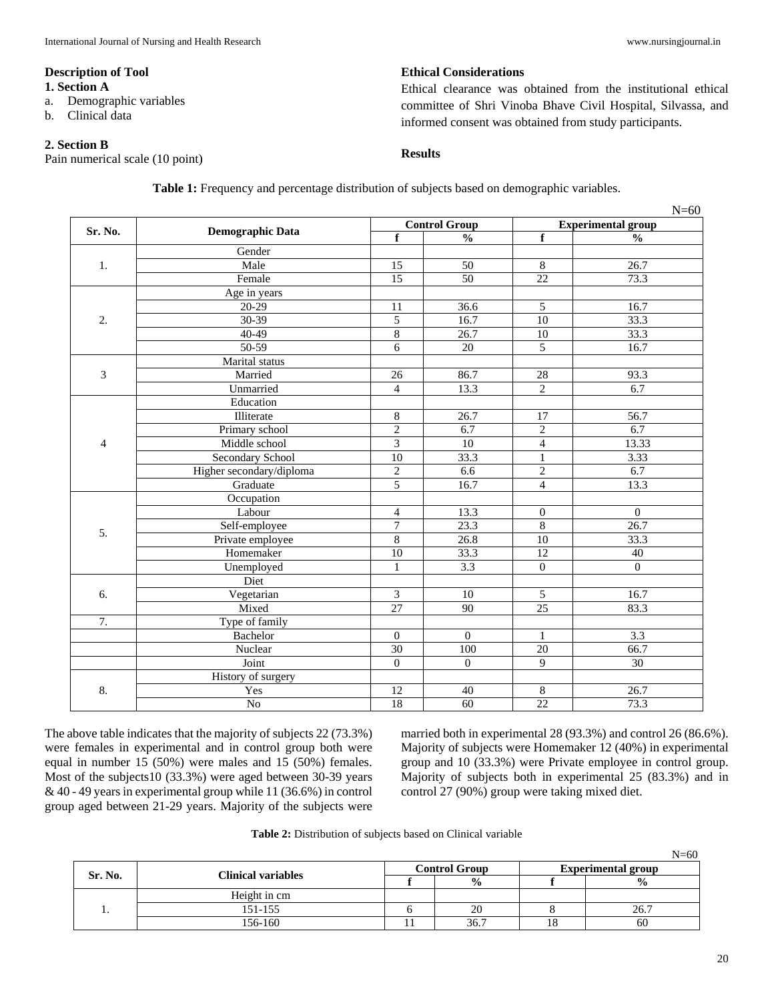#### **Description of Tool**

#### **1. Section A**

- a. Demographic variables
- b. Clinical data

### **2. Section B**

Pain numerical scale (10 point)

# **Ethical Considerations**

Ethical clearance was obtained from the institutional ethical committee of Shri Vinoba Bhave Civil Hospital, Silvassa, and informed consent was obtained from study participants.

# **Results**

| Table 1: Frequency and percentage distribution of subjects based on demographic variables. |  |  |  |  |
|--------------------------------------------------------------------------------------------|--|--|--|--|
|                                                                                            |  |  |  |  |

| Sr. No.          | <b>Demographic Data</b>  |                  | <b>Control Group</b> | <b>Experimental group</b> |                  |  |
|------------------|--------------------------|------------------|----------------------|---------------------------|------------------|--|
|                  |                          | $\mathbf f$      | $\frac{0}{0}$        | $\mathbf f$               | $\frac{0}{0}$    |  |
|                  | Gender                   |                  |                      |                           |                  |  |
| 1.               | Male                     | 15               | 50                   | 8                         | 26.7             |  |
|                  | Female                   | $\overline{15}$  | $\overline{50}$      | $\overline{22}$           | 73.3             |  |
|                  | Age in years             |                  |                      |                           |                  |  |
|                  | 20-29                    | 11               | 36.6                 | 5                         | 16.7             |  |
| 2.               | 30-39                    | 5                | 16.7                 | 10                        | 33.3             |  |
|                  | $40 - 49$                | $\,$ 8 $\,$      | 26.7                 | 10                        | 33.3             |  |
|                  | 50-59                    | 6                | 20                   | $\overline{5}$            | 16.7             |  |
|                  | Marital status           |                  |                      |                           |                  |  |
| 3                | Married                  | 26               | 86.7                 | 28                        | 93.3             |  |
|                  | Unmarried                | $\overline{4}$   | 13.3                 | $\overline{2}$            | 6.7              |  |
|                  | Education                |                  |                      |                           |                  |  |
|                  | Illiterate               | $\,$ 8 $\,$      | 26.7                 | 17                        | 56.7             |  |
|                  | Primary school           | $\overline{2}$   | 6.7                  | $\overline{2}$            | 6.7              |  |
| 4                | Middle school            | $\overline{3}$   | 10                   | $\overline{4}$            | 13.33            |  |
|                  | <b>Secondary School</b>  | 10               | 33.3                 | $\mathbf{1}$              | 3.33             |  |
|                  | Higher secondary/diploma | $\overline{2}$   | 6.6                  | $\overline{2}$            | 6.7              |  |
|                  | Graduate                 | 5                | 16.7                 | $\overline{4}$            | 13.3             |  |
|                  | Occupation               |                  |                      |                           |                  |  |
|                  | Labour                   | $\overline{4}$   | 13.3                 | $\overline{0}$            | $\Omega$         |  |
|                  | Self-employee            | $\overline{7}$   | 23.3                 | 8                         | 26.7             |  |
| 5.               | Private employee         | $\overline{8}$   | 26.8                 | 10                        | 33.3             |  |
|                  | Homemaker                | 10               | 33.3                 | 12                        | 40               |  |
|                  | Unemployed               | $\mathbf{1}$     | 3.3                  | $\overline{0}$            | $\theta$         |  |
|                  | Diet                     |                  |                      |                           |                  |  |
| 6.               | Vegetarian               | 3                | 10                   | 5                         | 16.7             |  |
|                  | Mixed                    | $\overline{27}$  | 90                   | $\overline{25}$           | 83.3             |  |
| $\overline{7}$ . | Type of family           |                  |                      |                           |                  |  |
|                  | Bachelor                 | $\boldsymbol{0}$ | $\mathbf{0}$         | $\mathbf{1}$              | $\overline{3.3}$ |  |
|                  | Nuclear                  | $\overline{30}$  | $\overline{100}$     | 20                        | 66.7             |  |
|                  | Joint                    | $\boldsymbol{0}$ | $\mathbf{0}$         | 9                         | 30               |  |
|                  | History of surgery       |                  |                      |                           |                  |  |
| 8.               | Yes                      | 12               | 40                   | $\,8\,$                   | 26.7             |  |
|                  | No                       | $\overline{18}$  | 60                   | $\overline{22}$           | 73.3             |  |

The above table indicates that the majority of subjects 22 (73.3%) were females in experimental and in control group both were equal in number 15 (50%) were males and 15 (50%) females. Most of the subjects10 (33.3%) were aged between 30-39 years & 40 - 49 years in experimental group while 11 (36.6%) in control group aged between 21-29 years. Majority of the subjects were

married both in experimental 28 (93.3%) and control 26 (86.6%). Majority of subjects were Homemaker 12 (40%) in experimental group and 10 (33.3%) were Private employee in control group. Majority of subjects both in experimental 25 (83.3%) and in control 27 (90%) group were taking mixed diet.

| Table 2: Distribution of subjects based on Clinical variable |
|--------------------------------------------------------------|
|--------------------------------------------------------------|

|         |                           |                      |                           | $N=60$        |  |
|---------|---------------------------|----------------------|---------------------------|---------------|--|
| Sr. No. | <b>Clinical variables</b> | <b>Control Group</b> | <b>Experimental group</b> |               |  |
|         |                           | $\frac{0}{0}$        |                           | $\frac{6}{9}$ |  |
|         | Height in cm              |                      |                           |               |  |
|         | 151-155                   | 20                   |                           | 26.7          |  |
|         | 156-160                   | 36.7                 |                           | 60            |  |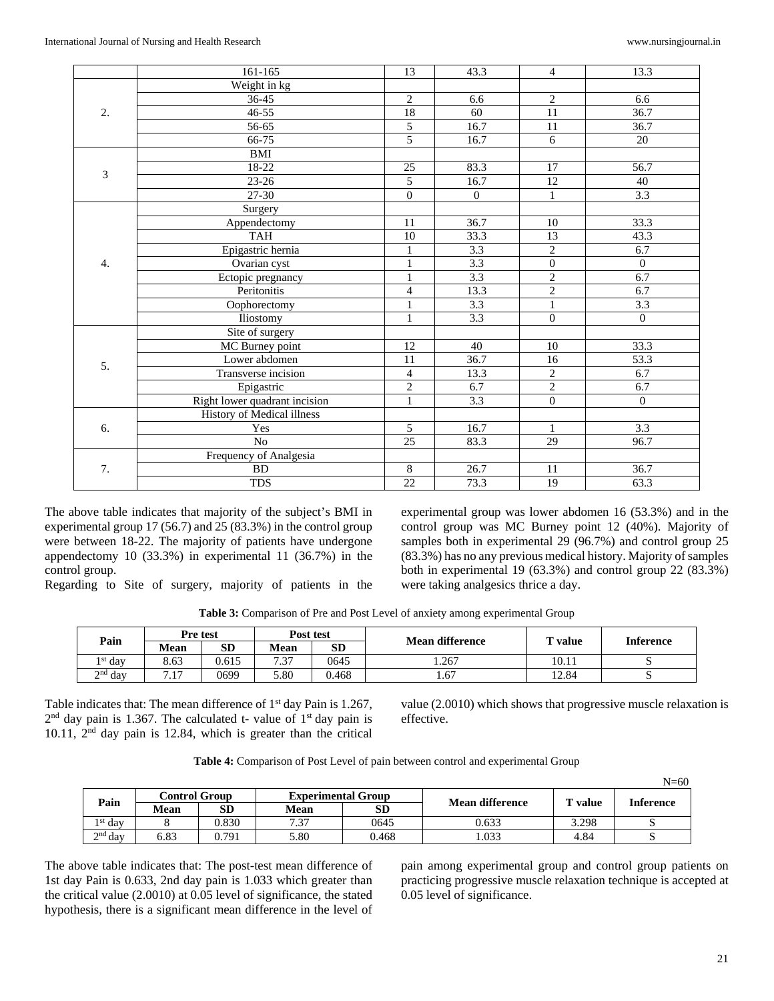|                                 | 161-165             | 13                                                                                                                                                                                                                                                                                                                                                            | 43.3             | $\overline{4}$  | 13.3             |
|---------------------------------|---------------------|---------------------------------------------------------------------------------------------------------------------------------------------------------------------------------------------------------------------------------------------------------------------------------------------------------------------------------------------------------------|------------------|-----------------|------------------|
|                                 | Weight in kg        |                                                                                                                                                                                                                                                                                                                                                               |                  |                 |                  |
| 2.<br>3<br>4.<br>5.<br>6.<br>7. | $36 - 45$           | $\overline{2}$                                                                                                                                                                                                                                                                                                                                                | 6.6              | $\overline{2}$  | 6.6              |
|                                 | $46 - 55$           | 18                                                                                                                                                                                                                                                                                                                                                            | 60               | 11              | 36.7             |
|                                 | 56-65               | 5                                                                                                                                                                                                                                                                                                                                                             | 16.7             | 11              | 36.7             |
|                                 | 66-75               | $\overline{5}$                                                                                                                                                                                                                                                                                                                                                | 16.7             | 6               | 20               |
|                                 | BMI                 |                                                                                                                                                                                                                                                                                                                                                               |                  |                 |                  |
|                                 | 18-22               | 25                                                                                                                                                                                                                                                                                                                                                            | 83.3             | 17              | 56.7             |
|                                 | $23 - 26$           | $\overline{5}$                                                                                                                                                                                                                                                                                                                                                | 16.7             | 12              | 40               |
|                                 | 27-30               | $\boldsymbol{0}$                                                                                                                                                                                                                                                                                                                                              | $\mathbf{0}$     | $\mathbf{1}$    | 3.3              |
|                                 | Surgery             |                                                                                                                                                                                                                                                                                                                                                               |                  |                 |                  |
|                                 | Appendectomy        | 11                                                                                                                                                                                                                                                                                                                                                            | 36.7             | 10              | 33.3             |
|                                 | <b>TAH</b>          | 10                                                                                                                                                                                                                                                                                                                                                            | 33.3             | $\overline{13}$ | 43.3             |
|                                 | Epigastric hernia   | $\mathbf{1}$                                                                                                                                                                                                                                                                                                                                                  | 3.3              |                 | 6.7              |
|                                 | Ovarian cyst        | $\mathbf{1}$                                                                                                                                                                                                                                                                                                                                                  | 3.3              |                 | $\mathbf{0}$     |
|                                 |                     | $\mathbf{1}$                                                                                                                                                                                                                                                                                                                                                  | $\overline{3.3}$ | $\overline{2}$  | 6.7              |
|                                 |                     | 4                                                                                                                                                                                                                                                                                                                                                             | 13.3             |                 | 6.7              |
|                                 | Oophorectomy        | 1                                                                                                                                                                                                                                                                                                                                                             | 3.3              | $\mathbf{1}$    | $\overline{3.3}$ |
|                                 | Iliostomy           | $\mathbf{1}$                                                                                                                                                                                                                                                                                                                                                  | $\overline{3.3}$ | $\Omega$        | $\Omega$         |
|                                 | Site of surgery     |                                                                                                                                                                                                                                                                                                                                                               |                  |                 |                  |
|                                 | MC Burney point     | 12                                                                                                                                                                                                                                                                                                                                                            | 40               | 10              | 33.3             |
|                                 | Lower abdomen       | 11                                                                                                                                                                                                                                                                                                                                                            | 36.7             | 16              | 53.3             |
|                                 | Transverse incision | $\overline{4}$                                                                                                                                                                                                                                                                                                                                                | 13.3             | $\overline{2}$  | 6.7              |
|                                 | Epigastric          |                                                                                                                                                                                                                                                                                                                                                               | 6.7              |                 | 6.7              |
|                                 |                     | $\mathbf{1}$                                                                                                                                                                                                                                                                                                                                                  | 3.3              |                 | $\mathbf{0}$     |
|                                 |                     |                                                                                                                                                                                                                                                                                                                                                               |                  |                 |                  |
|                                 | Yes                 | 5                                                                                                                                                                                                                                                                                                                                                             |                  | $\mathbf{1}$    | 3.3              |
|                                 | N <sub>o</sub>      | $\overline{2}$<br>$\overline{0}$<br>Ectopic pregnancy<br>$\overline{2}$<br>Peritonitis<br>$\overline{2}$<br>$\overline{2}$<br>Right lower quadrant incision<br>$\overline{0}$<br>History of Medical illness<br>16.7<br>25<br>83.3<br>29<br>Frequency of Analgesia<br>$\overline{8}$<br>26.7<br><b>BD</b><br>11<br>$\overline{22}$<br><b>TDS</b><br>19<br>73.3 | 96.7             |                 |                  |
|                                 |                     |                                                                                                                                                                                                                                                                                                                                                               |                  |                 |                  |
|                                 |                     |                                                                                                                                                                                                                                                                                                                                                               |                  |                 | 36.7             |
|                                 |                     |                                                                                                                                                                                                                                                                                                                                                               |                  |                 | 63.3             |

The above table indicates that majority of the subject's BMI in experimental group 17 (56.7) and 25 (83.3%) in the control group were between 18-22. The majority of patients have undergone appendectomy 10 (33.3%) in experimental 11 (36.7%) in the control group.

Regarding to Site of surgery, majority of patients in the

experimental group was lower abdomen 16 (53.3%) and in the control group was MC Burney point 12 (40%). Majority of samples both in experimental 29 (96.7%) and control group 25 (83.3%) has no any previous medical history. Majority of samples both in experimental 19 (63.3%) and control group 22 (83.3%) were taking analgesics thrice a day.

|  | <b>Table 3:</b> Comparison of Pre and Post Level of anxiety among experimental Group |  |  |
|--|--------------------------------------------------------------------------------------|--|--|

| Pain               | Pre test                    |       | Post test    |           | Mean difference |         |           |  |
|--------------------|-----------------------------|-------|--------------|-----------|-----------------|---------|-----------|--|
|                    | Mean                        | SD    | Mean         | <b>SD</b> |                 | T value | Inference |  |
| <sup>1st</sup> day | 8.63                        | 0.615 | 7 27<br>، ب. | 0645      | 1.267           | 10.11   |           |  |
| $2nd$ day          | 1 <sub>7</sub><br>$\cdot$ 1 | 0699  | 5.80         | 0.468     | 1.67            | 12.84   |           |  |

Table indicates that: The mean difference of 1<sup>st</sup> day Pain is 1.267,  $2<sup>nd</sup>$  day pain is 1.367. The calculated t- value of  $1<sup>st</sup>$  day pain is 10.11, 2nd day pain is 12.84, which is greater than the critical

value (2.0010) which shows that progressive muscle relaxation is effective.

| Table 4: Comparison of Post Level of pain between control and experimental Group |  |  |
|----------------------------------------------------------------------------------|--|--|
|----------------------------------------------------------------------------------|--|--|

|                    |                       |       |                           |           |                        |       | $N = 60$  |  |
|--------------------|-----------------------|-------|---------------------------|-----------|------------------------|-------|-----------|--|
| Pain               | C <b>ontrol Group</b> |       | <b>Experimental Group</b> |           | <b>Mean difference</b> | value |           |  |
|                    | Mean                  | SD    | <b>Mean</b>               | <b>SD</b> |                        |       | Inference |  |
| <sup>1st</sup> day |                       | 0.830 | 7.37                      | 0645      | 0.633                  | 3.298 |           |  |
| $2nd$ day          | 5.83                  | 0.791 | 5.80                      | 0.468     | .033                   | 4.84  |           |  |

The above table indicates that: The post-test mean difference of 1st day Pain is 0.633, 2nd day pain is 1.033 which greater than the critical value (2.0010) at 0.05 level of significance, the stated hypothesis, there is a significant mean difference in the level of

pain among experimental group and control group patients on practicing progressive muscle relaxation technique is accepted at 0.05 level of significance.